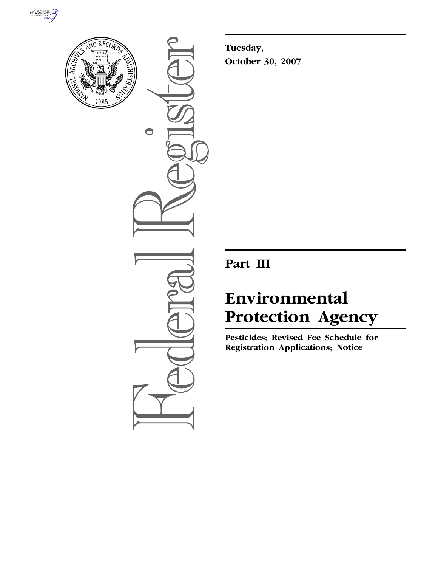



 $\bullet$ 

**Tuesday, October 30, 2007** 

## **Part III**

# **Environmental Protection Agency**

**Pesticides; Revised Fee Schedule for Registration Applications; Notice**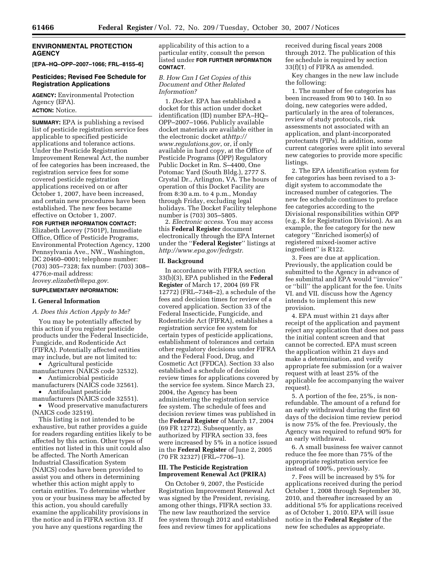## **ENVIRONMENTAL PROTECTION AGENCY**

**[EPA–HQ–OPP–2007–1066; FRL–8155–6]** 

## **Pesticides; Revised Fee Schedule for Registration Applications**

**AGENCY:** Environmental Protection Agency (EPA). **ACTION:** Notice.

**SUMMARY:** EPA is publishing a revised list of pesticide registration service fees applicable to specified pesticide applications and tolerance actions. Under the Pesticide Registration Improvement Renewal Act, the number of fee categories has been increased, the registration service fees for some covered pesticide registration applications received on or after October 1, 2007, have been increased, and certain new procedures have been established. The new fees became effective on October 1, 2007.

**FOR FURTHER INFORMATION CONTACT:**  Elizabeth Leovey (7501P), Immediate Office, Office of Pesticide Programs, Environmental Protection Agency, 1200 Pennsylvania Ave., NW., Washington, DC 20460–0001; telephone number: (703) 305–7328; fax number: (703) 308– 4776;e-mail address: *leovey.elizabeth@epa.gov*.

## **SUPPLEMENTARY INFORMATION:**

#### **I. General Information**

*A. Does this Action Apply to Me?* 

You may be potentially affected by this action if you register pesticide products under the Federal Insecticide, Fungicide, and Rodenticide Act (FIFRA). Potentially affected entities may include, but are not limited to:

• Agricultural pesticide manufacturers (NAICS code 32532). • Antimicrobial pesticide

manufacturers (NAICS code 32561). • Antifoulant pesticide

manufacturers (NAICS code 32551).

• Wood preservative manufacturers (NAICS code 32519).

This listing is not intended to be exhaustive, but rather provides a guide for readers regarding entities likely to be affected by this action. Other types of entities not listed in this unit could also be affected. The North American Industrial Classification System (NAICS) codes have been provided to assist you and others in determining whether this action might apply to certain entities. To determine whether you or your business may be affected by this action, you should carefully examine the applicability provisions in the notice and in FIFRA section 33. If you have any questions regarding the

applicability of this action to a particular entity, consult the person listed under **FOR FURTHER INFORMATION CONTACT**.

## *B. How Can I Get Copies of this Document and Other Related Information?*

1. *Docket*. EPA has established a docket for this action under docket identification (ID) number EPA–HQ– OPP–2007–1066. Publicly available docket materials are available either in the electronic docket at*http:// www.regulations.gov*, or, if only available in hard copy, at the Office of Pesticide Programs (OPP) Regulatory Public Docket in Rm. S–4400, One Potomac Yard (South Bldg.), 2777 S. Crystal Dr., Arlington, VA. The hours of operation of this Docket Facility are from 8:30 a.m. to 4 p.m., Monday through Friday, excluding legal holidays. The Docket Facility telephone number is (703) 305–5805.

2. *Electronic access*. You may access this **Federal Register** document electronically through the EPA Internet under the ''**Federal Register**'' listings at *http://www.epa.gov/fedrgstr*.

#### **II. Background**

In accordance with FIFRA section 33(b)(3), EPA published in the **Federal Register** of March 17, 2004 (69 FR 12772) (FRL–7348–2), a schedule of the fees and decision times for review of a covered application. Section 33 of the Federal Insecticide, Fungicide, and Rodenticide Act (FIFRA), establishes a registration service fee system for certain types of pesticide applications, establishment of tolerances and certain other regulatory decisions under FIFRA and the Federal Food, Drug, and Cosmetic Act (FFDCA). Section 33 also established a schedule of decision review times for applications covered by the service fee system. Since March 23, 2004, the Agency has been administering the registration service fee system. The schedule of fees and decision review times was published in the **Federal Register** of March 17, 2004 (69 FR 12772). Subsequently, as authorized by FIFRA section 33, fees were increased by 5% in a notice issued in the **Federal Register** of June 2, 2005 (70 FR 32327) (FRL–7706–1).

## **III. The Pesticide Registration Improvement Renewal Act (PRIRA)**

On October 9, 2007, the Pesticide Registration Improvement Renewal Act was signed by the President, revising, among other things, FIFRA section 33. The new law reauthorized the service fee system through 2012 and established fees and review times for applications

received during fiscal years 2008 through 2012. The publication of this fee schedule is required by section 33(f)(1) of FIFRA as amended.

Key changes in the new law include the following:

1. The number of fee categories has been increased from 90 to 140. In so doing, new categories were added, particularly in the area of tolerances, review of study protocols, risk assessments not associated with an application, and plant-incorporated protectants (PIPs). In addition, some current categories were split into several new categories to provide more specific listings.

2. The EPA identification system for fee categories has been revised to a 3 digit system to accommodate the increased number of categories. The new fee schedule continues to preface fee categories according to the Divisional responsibilities within OPP (e.g., R for Registration Division). As an example, the fee category for the new category ''Enriched isomer(s) of registered mixed-isomer active ingredient'' is R122.

3. Fees are due at application. Previously, the application could be submitted to the Agency in advance of fee submittal and EPA would ''invoice'' or ''bill'' the applicant for the fee. Units VI. and VII. discuss how the Agency intends to implement this new provision.

4. EPA must within 21 days after receipt of the application and payment reject any application that does not pass the initial content screen and that cannot be corrected. EPA must screen the application within 21 days and make a determination, and verify appropriate fee submission (or a waiver request with at least 25% of the applicable fee accompanying the waiver request).

5. A portion of the fee, 25%, is nonrefundable. The amount of a refund for an early withdrawal during the first 60 days of the decision time review period is now 75% of the fee. Previously, the Agency was required to refund 90% for an early withdrawal.

6. A small business fee waiver cannot reduce the fee more than 75% of the appropriate registration service fee instead of 100%, previously.

7. Fees will be increased by 5% for applications received during the period October 1, 2008 through September 30, 2010, and thereafter increased by an additional 5% for applications received as of October 1, 2010. EPA will issue notice in the **Federal Register** of the new fee schedules as appropriate.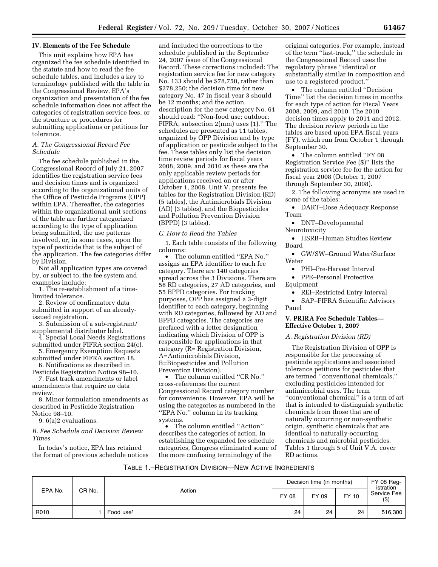## **IV. Elements of the Fee Schedule**

This unit explains how EPA has organized the fee schedule identified in the statute and how to read the fee schedule tables, and includes a key to terminology published with the table in the Congressional Review. EPA's organization and presentation of the fee schedule information does not affect the categories of registration service fees, or the structure or procedures for submitting applications or petitions for tolerance.

## *A. The Congressional Record Fee Schedule*

The fee schedule published in the Congressional Record of July 21, 2007 identifies the registration service fees and decision times and is organized according to the organizational units of the Office of Pesticide Programs (OPP) within EPA. Thereafter, the categories within the organizational unit sections of the table are further categorized according to the type of application being submitted, the use patterns involved, or, in some cases, upon the type of pesticide that is the subject of the application. The fee categories differ by Division.

Not all application types are covered by, or subject to, the fee system and examples include:

1. The re-establishment of a timelimited tolerance.

2. Review of confirmatory data submitted in support of an alreadyissued registration.

3. Submission of a sub-registrant/ supplemental distributor label.

4. Special Local Needs Registrations submitted under FIFRA section 24(c).

5. Emergency Exemption Requests submitted under FIFRA section 18.

6. Notifications as described in Pesticide Registration Notice 98–10. 7. Fast track amendments or label

amendments that require no data review.

8. Minor formulation amendments as described in Pesticide Registration Notice 98–10.

9. 6(a)2 evaluations.

*B. Fee Schedule and Decision Review Times* 

In today's notice, EPA has retained the format of previous schedule notices

and included the corrections to the schedule published in the September 24, 2007 issue of the Congressional Record. These corrections included: The registration service fee for new category No. 133 should be \$78,750, rather than \$278,250; the decision time for new category No. 47 in fiscal year 3 should be 12 months; and the action description for the new category No. 61 should read: ''Non-food use; outdoor; FIFRA, subsection 2(mm) uses (1).'' The schedules are presented as 11 tables, organized by OPP Division and by type of application or pesticide subject to the fee. These tables only list the decision time review periods for fiscal years 2008, 2009, and 2010 as these are the only applicable review periods for applications received on or after October 1, 2008. Unit V. presents fee tables for the Registration Division (RD) (5 tables), the Antimicrobials Division (AD) (3 tables), and the Biopesticides and Pollution Prevention Division (BPPD) (3 tables).

#### *C. How to Read the Tables*

1. Each table consists of the following columns:

• The column entitled ''EPA No.'' assigns an EPA identifier to each fee category. There are 140 categories spread across the 3 Divisions. There are 58 RD categories, 27 AD categories, and 55 BPPD categories. For tracking purposes, OPP has assigned a 3-digit identifier to each category, beginning with RD categories, followed by AD and BPPD categories. The categories are prefaced with a letter designation indicating which Division of OPP is responsible for applications in that category (R= Registration Division, A=Antimicrobials Division, B=Biopesticides and Pollution Prevention Division).

• The column entitled ''CR No.'' cross-references the current Congressional Record category number for convenience. However, EPA will be using the categories as numbered in the ''EPA No.'' column in its tracking systems.

• The column entitled "Action" describes the categories of action. In establishing the expanded fee schedule categories, Congress eliminated some of the more confusing terminology of the

original categories. For example, instead of the term ''fast-track,'' the schedule in the Congressional Record uses the regulatory phrase ''identical or substantially similar in composition and use to a registered product.''

• The column entitled ''Decision Time'' list the decision times in months for each type of action for Fiscal Years 2008, 2009, and 2010. The 2010 decision times apply to 2011 and 2012. The decision review periods in the tables are based upon EPA fiscal years (FY), which run from October 1 through September 30.

• The column entitled "FY 08 Registration Service Fee (\$)'' lists the registration service fee for the action for fiscal year 2008 (October 1, 2007 through September 30, 2008).

2. The following acronyms are used in some of the tables:

• DART–Dose Adequacy Response Team

• DNT–Developmental

Neurotoxicity

• HSRB–Human Studies Review Board

• GW/SW–Ground Water/Surface Water

• PHI–Pre-Harvest Interval

• PPE–Personal Protective Equipment

• REI–Restricted Entry Interval

• SAP–FIFRA Scientific Advisory Panel

## **V. PRIRA Fee Schedule Tables— Effective October 1, 2007**

## *A. Registration Division (RD)*

The Registration Division of OPP is responsible for the processing of pesticide applications and associated tolerance petitions for pesticides that are termed ''conventional chemicals,'' excluding pesticides intended for antimicrobial uses. The term "conventional chemical" is a term of art that is intended to distinguish synthetic chemicals from those that are of naturally occurring or non-synthetic origin, synthetic chemicals that are identical to naturally-occurring chemicals and microbial pesticides. Tables 1 through 5 of Unit V.A. cover RD actions.

#### TABLE 1.–REGISTRATION DIVISION—NEW ACTIVE INGREDIENTS

|         | Decision time (in months) | FY 08 Reg-<br>istration |       |       |       |                        |
|---------|---------------------------|-------------------------|-------|-------|-------|------------------------|
| EPA No. | CR No.                    | Action                  | FY 08 | FY 09 | FY 10 | Service Fee<br>$($ \$) |
| R010    |                           | Food use <sup>1</sup>   | 24    | 24    | 24    | 516,300                |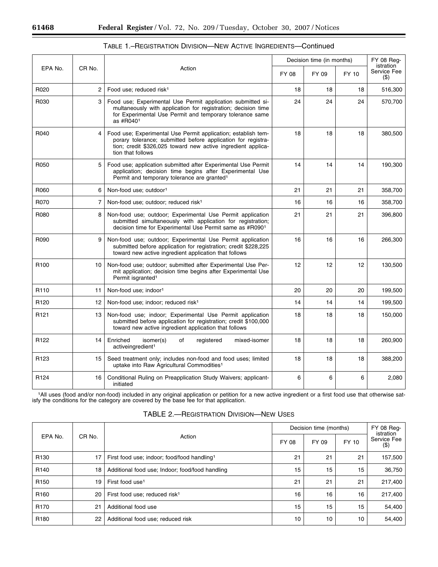|                  |        |                                                                                                                                                                                                                    | Decision time (in months) |       |       | FY 08 Req-<br>istration |
|------------------|--------|--------------------------------------------------------------------------------------------------------------------------------------------------------------------------------------------------------------------|---------------------------|-------|-------|-------------------------|
| EPA No.          | CR No. | Action                                                                                                                                                                                                             | FY 08                     | FY 09 | FY 10 | Service Fee<br>$($ \$)  |
| R020             | 2      | Food use; reduced risk <sup>1</sup>                                                                                                                                                                                | 18                        | 18    | 18    | 516,300                 |
| R030             | 3      | Food use; Experimental Use Permit application submitted si-<br>multaneously with application for registration; decision time<br>for Experimental Use Permit and temporary tolerance same<br>as #R0401              | 24                        | 24    | 24    | 570,700                 |
| R040             | 4      | Food use; Experimental Use Permit application; establish tem-<br>porary tolerance; submitted before application for registra-<br>tion; credit \$326,025 toward new active ingredient applica-<br>tion that follows | 18                        | 18    | 18    | 380,500                 |
| R050             | 5      | Food use; application submitted after Experimental Use Permit<br>application; decision time begins after Experimental Use<br>Permit and temporary tolerance are granted <sup>1</sup>                               | 14                        | 14    | 14    | 190,300                 |
| R060             | 6      | Non-food use; outdoor <sup>1</sup>                                                                                                                                                                                 | 21                        | 21    | 21    | 358,700                 |
| R070             | 7      | Non-food use; outdoor; reduced risk <sup>1</sup>                                                                                                                                                                   | 16                        | 16    | 16    | 358,700                 |
| R080             | 8      | Non-food use; outdoor; Experimental Use Permit application<br>submitted simultaneously with application for registration;<br>decision time for Experimental Use Permit same as #R0901                              | 21                        | 21    | 21    | 396,800                 |
| R090             | 9      | Non-food use; outdoor; Experimental Use Permit application<br>submitted before application for registration; credit \$228,225<br>toward new active ingredient application that follows                             | 16                        | 16    | 16    | 266,300                 |
| R <sub>100</sub> | 10     | Non-food use; outdoor; submitted after Experimental Use Per-<br>mit application; decision time begins after Experimental Use<br>Permit isgranted <sup>1</sup>                                                      | 12                        | 12    | 12    | 130,500                 |
| R <sub>110</sub> | 11     | Non-food use; indoor <sup>1</sup>                                                                                                                                                                                  | 20                        | 20    | 20    | 199,500                 |
| R <sub>120</sub> | 12     | Non-food use; indoor; reduced risk <sup>1</sup>                                                                                                                                                                    | 14                        | 14    | 14    | 199,500                 |
| R <sub>121</sub> | 13     | Non-food use; indoor; Experimental Use Permit application<br>submitted before application for registration; credit \$100,000<br>toward new active ingredient application that follows                              | 18                        | 18    | 18    | 150,000                 |
| R <sub>122</sub> | 14     | Enriched<br>of<br>mixed-isomer<br>isomer(s)<br>registered<br>activeingredient <sup>1</sup>                                                                                                                         | 18                        | 18    | 18    | 260,900                 |
| R <sub>123</sub> | 15     | Seed treatment only; includes non-food and food uses; limited<br>uptake into Raw Agricultural Commodities <sup>1</sup>                                                                                             | 18                        | 18    | 18    | 388,200                 |
| R <sub>124</sub> | 16     | Conditional Ruling on Preapplication Study Waivers; applicant-<br>initiated                                                                                                                                        | 6                         | 6     | 6     | 2,080                   |

## TABLE 1.–REGISTRATION DIVISION—NEW ACTIVE INGREDIENTS—Continued

1All uses (food and/or non-food) included in any original application or petition for a new active ingredient or a first food use that otherwise satisfy the conditions for the category are covered by the base fee for that application.

|                  |        |                                                         | Decision time (months)  | FY 08 Req-<br>istration |    |         |
|------------------|--------|---------------------------------------------------------|-------------------------|-------------------------|----|---------|
| EPA No.          | CR No. | Action                                                  | FY 10<br>FY 08<br>FY 09 | Service Fee<br>$($ \$)  |    |         |
| R <sub>130</sub> | 17     | First food use; indoor; food/food handling <sup>1</sup> | 21                      | 21                      | 21 | 157,500 |
| R <sub>140</sub> | 18     | Additional food use; Indoor; food/food handling         | 15                      | 15                      | 15 | 36,750  |
| R <sub>150</sub> | 19     | First food use <sup>1</sup>                             | 21                      | 21                      | 21 | 217,400 |
| R <sub>160</sub> | 20     | First food use; reduced risk <sup>1</sup>               | 16                      | 16                      | 16 | 217,400 |
| R <sub>170</sub> | 21     | Additional food use                                     | 15                      | 15                      | 15 | 54,400  |
| R <sub>180</sub> | 22     | Additional food use; reduced risk                       | 10                      | 10                      | 10 | 54,400  |

## TABLE 2.—REGISTRATION DIVISION—NEW USES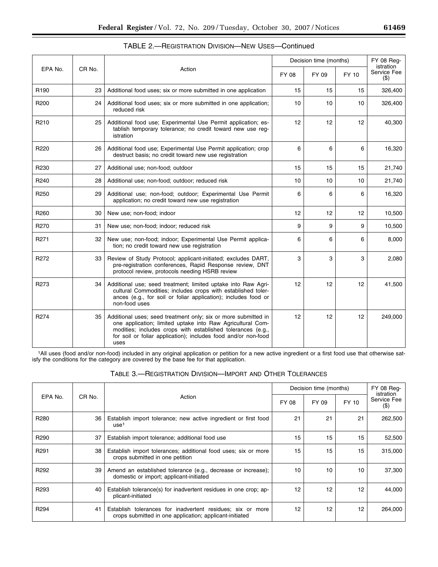| д.<br>O<br>. . |
|----------------|
|                |
|                |
|                |

|                  |                 |                                                                                                                                                                                                                                                                       |       |                 | Decision time (months) |                        |  | FY 08 Reg-<br>istration |
|------------------|-----------------|-----------------------------------------------------------------------------------------------------------------------------------------------------------------------------------------------------------------------------------------------------------------------|-------|-----------------|------------------------|------------------------|--|-------------------------|
| EPA No.          | CR No.          | Action                                                                                                                                                                                                                                                                | FY 08 | FY 09           | FY 10                  | Service Fee<br>$($ \$) |  |                         |
| R <sub>190</sub> | 23              | Additional food uses; six or more submitted in one application                                                                                                                                                                                                        | 15    | 15              | 15                     | 326,400                |  |                         |
| R <sub>200</sub> | 24              | Additional food uses; six or more submitted in one application;<br>reduced risk                                                                                                                                                                                       | 10    | 10              | 10                     | 326,400                |  |                         |
| R <sub>210</sub> | 25              | Additional food use; Experimental Use Permit application; es-<br>tablish temporary tolerance; no credit toward new use req-<br>istration                                                                                                                              | 12    | 12              | 12                     | 40,300                 |  |                         |
| R220             | 26 <sup>1</sup> | Additional food use; Experimental Use Permit application; crop<br>destruct basis; no credit toward new use registration                                                                                                                                               | 6     | 6               | 6                      | 16,320                 |  |                         |
| R230             | 27              | Additional use; non-food; outdoor                                                                                                                                                                                                                                     | 15    | 15              | 15                     | 21,740                 |  |                         |
| R240             | 28              | Additional use; non-food; outdoor; reduced risk                                                                                                                                                                                                                       | 10    | 10              | 10                     | 21,740                 |  |                         |
| R <sub>250</sub> | 29              | Additional use; non-food; outdoor; Experimental Use Permit<br>application; no credit toward new use registration                                                                                                                                                      | 6     | 6               | 6                      | 16,320                 |  |                         |
| R <sub>260</sub> | 30              | New use; non-food; indoor                                                                                                                                                                                                                                             | 12    | 12 <sup>2</sup> | 12                     | 10,500                 |  |                         |
| R270             | 31              | New use; non-food; indoor; reduced risk                                                                                                                                                                                                                               | 9     | 9               | 9                      | 10,500                 |  |                         |
| R271             | 32              | New use; non-food; indoor; Experimental Use Permit applica-<br>tion; no credit toward new use registration                                                                                                                                                            | 6     | 6               | 6                      | 8,000                  |  |                         |
| R272             | 33              | Review of Study Protocol; applicant-initiated; excludes DART,<br>pre-registration conferences, Rapid Response review, DNT<br>protocol review, protocols needing HSRB review                                                                                           | 3     | 3               | 3                      | 2,080                  |  |                         |
| R <sub>273</sub> | 34              | Additional use; seed treatment; limited uptake into Raw Agri-<br>cultural Commodities; includes crops with established toler-<br>ances (e.g., for soil or foliar application); includes food or<br>non-food uses                                                      | 12    | 12              | 12                     | 41,500                 |  |                         |
| R274             | 35              | Additional uses; seed treatment only; six or more submitted in<br>one application; limited uptake into Raw Agricultural Com-<br>modities; includes crops with established tolerances (e.g.,<br>for soil or foliar application); includes food and/or non-food<br>uses | 12    | 12              | 12                     | 249,000                |  |                         |

| TABLE 2.—REGISTRATION DIVISION—NEW USES—Continued |  |
|---------------------------------------------------|--|
|---------------------------------------------------|--|

1All uses (food and/or non-food) included in any original application or petition for a new active ingredient or a first food use that otherwise satisfy the conditions for the category are covered by the base fee for that application.

| Table 3.—Registration Division—Import and Other Tolerances |  |  |
|------------------------------------------------------------|--|--|
|------------------------------------------------------------|--|--|

|                  |        |                                                                                                                       |       | Decision time (months) |       |                                    |
|------------------|--------|-----------------------------------------------------------------------------------------------------------------------|-------|------------------------|-------|------------------------------------|
| EPA No.          | CR No. | Action                                                                                                                | FY 08 | FY 09                  | FY 10 | istration<br>Service Fee<br>$($ \$ |
| R <sub>280</sub> | 36     | Establish import tolerance; new active ingredient or first food<br>use <sup>1</sup>                                   | 21    | 21                     | 21    | 262,500                            |
| R <sub>290</sub> | 37     | Establish import tolerance; additional food use                                                                       | 15    | 15                     | 15    | 52,500                             |
| R <sub>291</sub> | 38     | Establish import tolerances; additional food uses; six or more<br>crops submitted in one petition                     | 15    | 15                     | 15    | 315,000                            |
| R <sub>292</sub> | 39     | Amend an established tolerance (e.g., decrease or increase);<br>domestic or import; applicant-initiated               | 10    | 10                     | 10    | 37,300                             |
| R <sub>293</sub> | 40     | Establish tolerance(s) for inadvertent residues in one crop; ap-<br>plicant-initiated                                 | 12    | 12                     | 12    | 44,000                             |
| R <sub>294</sub> | 41     | Establish tolerances for inadvertent residues; six or more<br>crops submitted in one application; applicant-initiated | 12    | 12                     | 12    | 264,000                            |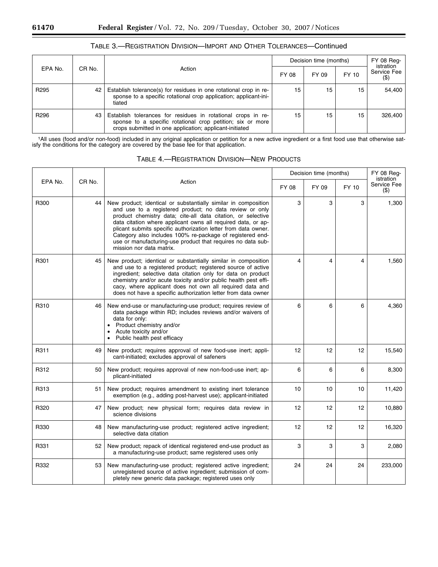|                  |        |                                                                                                                                                                                       | Decision time (months) | FY 08 Req-<br>istration |       |                        |
|------------------|--------|---------------------------------------------------------------------------------------------------------------------------------------------------------------------------------------|------------------------|-------------------------|-------|------------------------|
| EPA No.          | CR No. | Action                                                                                                                                                                                | FY 08                  | FY 09                   | FY 10 | Service Fee<br>$($ \$) |
| R <sub>295</sub> | 42     | Establish tolerance(s) for residues in one rotational crop in re-<br>sponse to a specific rotational crop application; applicant-ini-<br>tiated                                       | 15                     | 15                      | 15    | 54,400                 |
| R <sub>296</sub> | 43     | Establish tolerances for residues in rotational crops in re-<br>sponse to a specific rotational crop petition; six or more<br>crops submitted in one application; applicant-initiated | 15                     | 15                      | 15    | 326,400                |

## TABLE 3.—REGISTRATION DIVISION—IMPORT AND OTHER TOLERANCES—Continued

1All uses (food and/or non-food) included in any original application or petition for a new active ingredient or a first food use that otherwise satisfy the conditions for the category are covered by the base fee for that application.

|         |        |                                                                                                                                                                                                                                                                                                                                                                                                                                                                                     |                 | Decision time (months) |       | FY 08 Reg-<br>istration |
|---------|--------|-------------------------------------------------------------------------------------------------------------------------------------------------------------------------------------------------------------------------------------------------------------------------------------------------------------------------------------------------------------------------------------------------------------------------------------------------------------------------------------|-----------------|------------------------|-------|-------------------------|
| EPA No. | CR No. | Action                                                                                                                                                                                                                                                                                                                                                                                                                                                                              | FY 08           | FY 09                  | FY 10 | Service Fee<br>$($ \$)  |
| R300    | 44     | New product; identical or substantially similar in composition<br>and use to a registered product; no data review or only<br>product chemistry data; cite-all data citation, or selective<br>data citation where applicant owns all required data, or ap-<br>plicant submits specific authorization letter from data owner.<br>Category also includes 100% re-package of registered end-<br>use or manufacturing-use product that requires no data sub-<br>mission nor data matrix. | 3               | 3                      | 3     | 1,300                   |
| R301    | 45     | New product; identical or substantially similar in composition<br>and use to a registered product; registered source of active<br>ingredient; selective data citation only for data on product<br>chemistry and/or acute toxicity and/or public health pest effi-<br>cacy, where applicant does not own all required data and<br>does not have a specific authorization letter from data owner                                                                                      | 4               | 4                      | 4     | 1,560                   |
| R310    | 46     | New end-use or manufacturing-use product; requires review of<br>data package within RD; includes reviews and/or waivers of<br>data for only:<br>• Product chemistry and/or<br>Acute toxicity and/or<br>• Public health pest efficacy                                                                                                                                                                                                                                                | 6               | 6                      | 6     | 4,360                   |
| R311    | 49     | New product; requires approval of new food-use inert; appli-<br>cant-initiated; excludes approval of safeners                                                                                                                                                                                                                                                                                                                                                                       | 12 <sup>2</sup> | 12                     | 12    | 15,540                  |
| R312    | 50     | New product; requires approval of new non-food-use inert; ap-<br>plicant-initiated                                                                                                                                                                                                                                                                                                                                                                                                  | 6               | 6                      | 6     | 8,300                   |
| R313    | 51     | New product; requires amendment to existing inert tolerance<br>exemption (e.g., adding post-harvest use); applicant-initiated                                                                                                                                                                                                                                                                                                                                                       | 10              | 10                     | 10    | 11,420                  |
| R320    | 47     | New product; new physical form; requires data review in<br>science divisions                                                                                                                                                                                                                                                                                                                                                                                                        | 12              | 12                     | 12    | 10,880                  |
| R330    | 48     | New manufacturing-use product; registered active ingredient;<br>selective data citation                                                                                                                                                                                                                                                                                                                                                                                             | 12              | 12                     | 12    | 16,320                  |
| R331    | 52     | New product; repack of identical registered end-use product as<br>a manufacturing-use product; same registered uses only                                                                                                                                                                                                                                                                                                                                                            | 3               | 3                      | 3     | 2,080                   |
| R332    | 53     | New manufacturing-use product; registered active ingredient;<br>unregistered source of active ingredient; submission of com-<br>pletely new generic data package; registered uses only                                                                                                                                                                                                                                                                                              | 24              | 24                     | 24    | 233,000                 |

## TABLE 4.—REGISTRATION DIVISION—NEW PRODUCTS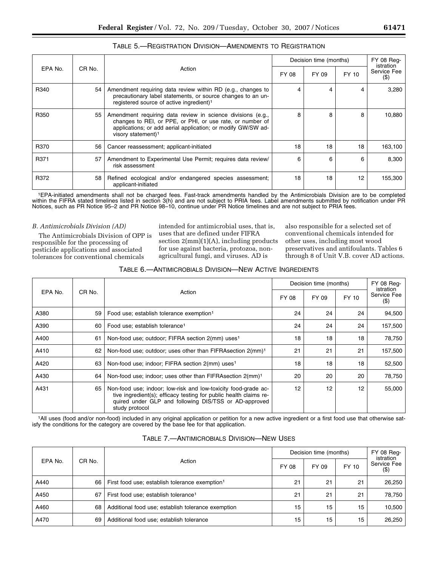|         |        |                                                                                                                                                                                                                            |       | Decision time (months) |       |                        |  | <b>FY 08 Reg-</b><br>istration |  |
|---------|--------|----------------------------------------------------------------------------------------------------------------------------------------------------------------------------------------------------------------------------|-------|------------------------|-------|------------------------|--|--------------------------------|--|
| EPA No. | CR No. | Action                                                                                                                                                                                                                     | FY 08 | FY 09                  | FY 10 | Service Fee<br>$($ \$) |  |                                |  |
| R340    | 54     | Amendment requiring data review within RD (e.g., changes to<br>precautionary label statements, or source changes to an un-<br>registered source of active ingredient) <sup>1</sup>                                         | 4     | 4                      | 4     | 3,280                  |  |                                |  |
| R350    | 55     | Amendment requiring data review in science divisions (e.g.,<br>changes to REI, or PPE, or PHI, or use rate, or number of<br>applications; or add aerial application; or modify GW/SW ad-<br>visory statement) <sup>1</sup> | R     | 8                      | 8     | 10,880                 |  |                                |  |
| R370    | 56     | Cancer reassessment; applicant-initiated                                                                                                                                                                                   | 18    | 18                     | 18    | 163,100                |  |                                |  |
| R371    | 57     | Amendment to Experimental Use Permit; requires data review/<br>risk assessment                                                                                                                                             | 6     | 6                      | 6     | 8,300                  |  |                                |  |
| R372    | 58     | Refined ecological and/or endangered species assessment;<br>applicant-initiated                                                                                                                                            | 18    | 18                     | 12    | 155,300                |  |                                |  |

## TABLE 5.—REGISTRATION DIVISION—AMENDMENTS TO REGISTRATION

1EPA-initiated amendments shall not be charged fees. Fast-track amendments handled by the Antimicrobials Division are to be completed within the FIFRA stated timelines listed in section 3(h) and are not subject to PRIA fees. Label amendments submitted by notification under PR Notices, such as PR Notice 95–2 and PR Notice 98–10, continue under PR Notice timelines and are not subject to PRIA fees.

#### *B. Antimicrobials Division (AD)*

The Antimicrobials Division of OPP is responsible for the processing of pesticide applications and associated tolerances for conventional chemicals

intended for antimicrobial uses, that is, uses that are defined under FIFRA section  $2(mm)(1)(A)$ , including products for use against bacteria, protozoa, nonagricultural fungi, and viruses. AD is

also responsible for a selected set of conventional chemicals intended for other uses, including most wood preservatives and antifoulants. Tables 6 through 8 of Unit V.B. cover AD actions.

| TABLE 6.—ANTIMICROBIALS DIVISION—NEW ACTIVE INGREDIENTS |
|---------------------------------------------------------|
|---------------------------------------------------------|

| EPA No. |        |                                                                                                                                                                                                                | Decision time (months) | FY 08 Req-<br>istration |       |                        |
|---------|--------|----------------------------------------------------------------------------------------------------------------------------------------------------------------------------------------------------------------|------------------------|-------------------------|-------|------------------------|
|         | CR No. | Action                                                                                                                                                                                                         | FY 08                  | FY 09                   | FY 10 | Service Fee<br>$($ \$) |
| A380    | 59     | Food use; establish tolerance exemption <sup>1</sup>                                                                                                                                                           | 24                     | 24                      | 24    | 94,500                 |
| A390    | 60     | Food use; establish tolerance <sup>1</sup>                                                                                                                                                                     | 24                     | 24                      | 24    | 157,500                |
| A400    | 61     | Non-food use; outdoor; FIFRA section 2(mm) uses <sup>1</sup>                                                                                                                                                   | 18                     | 18                      | 18    | 78,750                 |
| A410    | 62     | Non-food use; outdoor; uses other than FIFRA section 2(mm) <sup>1</sup>                                                                                                                                        | 21                     | 21                      | 21    | 157,500                |
| A420    | 63     | Non-food use; indoor; FIFRA section 2(mm) uses <sup>1</sup>                                                                                                                                                    | 18                     | 18                      | 18    | 52,500                 |
| A430    | 64     | Non-food use; indoor; uses other than FIFRA section 2(mm) <sup>1</sup>                                                                                                                                         | 20                     | 20                      | 20    | 78,750                 |
| A431    | 65     | Non-food use; indoor; low-risk and low-toxicity food-grade ac-<br>tive ingredient(s); efficacy testing for public health claims re-<br>quired under GLP and following DIS/TSS or AD-approved<br>study protocol | 12                     | 12                      | 12    | 55,000                 |

1All uses (food and/or non-food) included in any original application or petition for a new active ingredient or a first food use that otherwise satisfy the conditions for the category are covered by the base fee for that application.

| EPA No. |        |                                                            | Decision time (months) |       |       | FY 08 Req-<br>istration |  |
|---------|--------|------------------------------------------------------------|------------------------|-------|-------|-------------------------|--|
|         | CR No. | Action                                                     | FY 08                  | FY 09 | FY 10 | Service Fee<br>$($ \$)  |  |
| A440    | 66     | First food use; establish tolerance exemption <sup>1</sup> | 21                     | 21    | 21    | 26,250                  |  |
| A450    | 67     | First food use; establish tolerance <sup>1</sup>           | 21                     | 21    | 21    | 78.750                  |  |
| A460    | 68     | Additional food use; establish tolerance exemption         | 15                     | 15    | 15    | 10,500                  |  |
| A470    | 69     | Additional food use; establish tolerance                   | 15                     | 15    | 15    | 26,250                  |  |

#### TABLE 7.—ANTIMICROBIALS DIVISION—NEW USES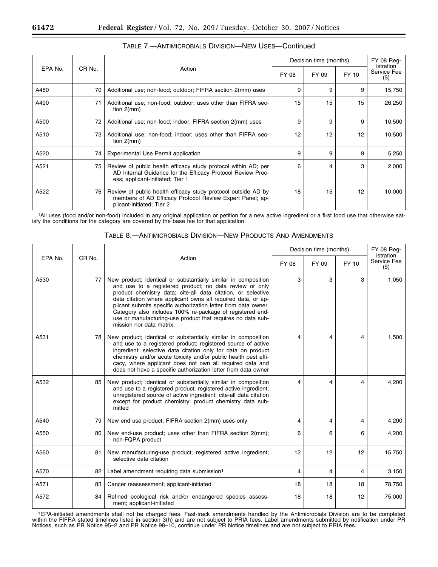|         |        |                                                                                                                                                                   | Decision time (months) | FY 08 Reg-<br>istration |       |                        |
|---------|--------|-------------------------------------------------------------------------------------------------------------------------------------------------------------------|------------------------|-------------------------|-------|------------------------|
| EPA No. | CR No. | Action                                                                                                                                                            | FY 08                  | FY 09                   | FY 10 | Service Fee<br>$($ \$) |
| A480    | 70     | Additional use; non-food; outdoor; FIFRA section 2(mm) uses                                                                                                       | 9                      | 9                       | 9     | 15,750                 |
| A490    | 71     | Additional use; non-food; outdoor; uses other than FIFRA sec-<br>tion $2$ (mm)                                                                                    | 15                     | 15                      | 15    | 26,250                 |
| A500    | 72     | Additional use; non-food; indoor; FIFRA section 2(mm) uses                                                                                                        | 9                      | 9                       | 9     | 10,500                 |
| A510    | 73     | Additional use; non-food; indoor; uses other than FIFRA sec-<br>tion $2$ (mm)                                                                                     | 12                     | 12                      | 12    | 10,500                 |
| A520    | 74     | Experimental Use Permit application                                                                                                                               | 9                      | 9                       | 9     | 5,250                  |
| A521    | 75     | Review of public health efficacy study protocol within AD; per<br>AD Internal Guidance for the Efficacy Protocol Review Proc-<br>ess; applicant-initiated; Tier 1 | 6                      | 4                       | 3     | 2,000                  |
| A522    | 76     | Review of public health efficacy study protocol outside AD by<br>members of AD Efficacy Protocol Review Expert Panel; ap-<br>plicant-initiated; Tier 2            | 18                     | 15                      | 12    | 10,000                 |

1All uses (food and/or non-food) included in any original application or petition for a new active ingredient or a first food use that otherwise satisfy the conditions for the category are covered by the base fee for that application.

|         |                   |                                                                                                                                                                                                                                                                                                                                                                                                                                                                                     | Decision time (months) | <b>FY 08 Reg-</b><br><i>istration</i> |       |                        |
|---------|-------------------|-------------------------------------------------------------------------------------------------------------------------------------------------------------------------------------------------------------------------------------------------------------------------------------------------------------------------------------------------------------------------------------------------------------------------------------------------------------------------------------|------------------------|---------------------------------------|-------|------------------------|
| EPA No. | CR <sub>No.</sub> | Action                                                                                                                                                                                                                                                                                                                                                                                                                                                                              | FY 08                  | FY 09                                 | FY 10 | Service Fee<br>$($ \$) |
| A530    | 77                | New product; identical or substantially similar in composition<br>and use to a registered product; no data review or only<br>product chemistry data; cite-all data citation, or selective<br>data citation where applicant owns all required data, or ap-<br>plicant submits specific authorization letter from data owner.<br>Category also includes 100% re-package of registered end-<br>use or manufacturing-use product that requires no data sub-<br>mission nor data matrix. | 3                      | 3                                     | 3     | 1,050                  |
| A531    | 78                | New product; identical or substantially similar in composition<br>and use to a registered product; registered source of active<br>ingredient; selective data citation only for data on product<br>chemistry and/or acute toxicity and/or public health pest effi-<br>cacy, where applicant does not own all required data and<br>does not have a specific authorization letter from data owner                                                                                      | 4                      | 4                                     | 4     | 1,500                  |
| A532    | 85                | New product; identical or substantially similar in composition<br>and use to a registered product; registered active ingredient;<br>unregistered source of active ingredient; cite-all data citation<br>except for product chemistry; product chemistry data sub-<br>mitted                                                                                                                                                                                                         | 4                      | 4                                     | 4     | 4,200                  |
| A540    | 79                | New end use product; FIFRA section 2(mm) uses only                                                                                                                                                                                                                                                                                                                                                                                                                                  | 4                      | 4                                     | 4     | 4,200                  |
| A550    | 80                | New end-use product; uses other than FIFRA section 2(mm);<br>non-FQPA product                                                                                                                                                                                                                                                                                                                                                                                                       | 6                      | 6                                     | 6     | 4,200                  |
| A560    | 81                | New manufacturing-use product; registered active ingredient;<br>selective data citation                                                                                                                                                                                                                                                                                                                                                                                             | 12                     | 12                                    | 12    | 15,750                 |
| A570    | 82                | Label amendment requiring data submission <sup>1</sup>                                                                                                                                                                                                                                                                                                                                                                                                                              | 4                      | 4                                     | 4     | 3,150                  |
| A571    | 83                | Cancer reassessment; applicant-initiated                                                                                                                                                                                                                                                                                                                                                                                                                                            | 18                     | 18                                    | 18    | 78,750                 |
| A572    | 84                | Refined ecological risk and/or endangered species assess-<br>ment; applicant-initiated                                                                                                                                                                                                                                                                                                                                                                                              | 18                     | 18                                    | 12    | 75,000                 |

## TABLE 8.—ANTIMICROBIALS DIVISION—NEW PRODUCTS AND AMENDMENTS

1EPA-initiated amendments shall not be charged fees. Fast-track amendments handled by the Antimicrobials Division are to be completed within the FIFRA stated timelines listed in section 3(h) and are not subject to PRIA fees. Label amendments submitted by notification under PR Notices, such as PR Notice 95–2 and PR Notice 98–10, continue under PR Notice timelines and are not subject to PRIA fees.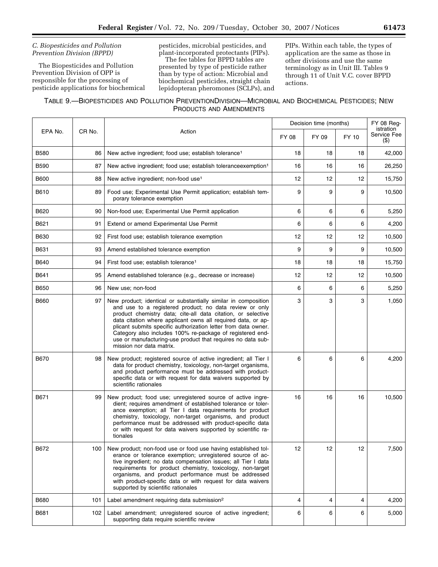## *C. Biopesticides and Pollution Prevention Division (BPPD)*

The Biopesticides and Pollution Prevention Division of OPP is responsible for the processing of pesticide applications for biochemical pesticides, microbial pesticides, and plant-incorporated protectants (PIPs).

The fee tables for BPPD tables are presented by type of pesticide rather than by type of action: Microbial and biochemical pesticides, straight chain lepidopteran pheromones (SCLPs), and PIPs. Within each table, the types of application are the same as those in other divisions and use the same terminology as in Unit III. Tables 9 through 11 of Unit V.C. cover BPPD actions.

| TABLE 9.-BIOPESTICIDES AND POLLUTION PREVENTIONDIVISION-MICROBIAL AND BIOCHEMICAL PESTICIDES; NEW |  |
|---------------------------------------------------------------------------------------------------|--|
| PRODUCTS AND AMENDMENTS                                                                           |  |

|             |        |                                                                                                                                                                                                                                                                                                                                                                                                                                                                                     | Decision time (months) | FY 08 Reg-<br>istration |       |                        |
|-------------|--------|-------------------------------------------------------------------------------------------------------------------------------------------------------------------------------------------------------------------------------------------------------------------------------------------------------------------------------------------------------------------------------------------------------------------------------------------------------------------------------------|------------------------|-------------------------|-------|------------------------|
| EPA No.     | CR No. | Action                                                                                                                                                                                                                                                                                                                                                                                                                                                                              | FY 08                  | FY 09                   | FY 10 | Service Fee<br>$($ \$) |
| <b>B580</b> | 86     | New active ingredient; food use; establish tolerance <sup>1</sup>                                                                                                                                                                                                                                                                                                                                                                                                                   | 18                     | 18                      | 18    | 42,000                 |
| <b>B590</b> | 87     | New active ingredient; food use; establish toleranceexemption <sup>1</sup>                                                                                                                                                                                                                                                                                                                                                                                                          | 16                     | 16                      | 16    | 26,250                 |
| <b>B600</b> | 88     | New active ingredient; non-food use <sup>1</sup>                                                                                                                                                                                                                                                                                                                                                                                                                                    | 12                     | 12                      | 12    | 15,750                 |
| B610        | 89     | Food use; Experimental Use Permit application; establish tem-<br>porary tolerance exemption                                                                                                                                                                                                                                                                                                                                                                                         | 9                      | 9                       | 9     | 10,500                 |
| B620        | 90     | Non-food use; Experimental Use Permit application                                                                                                                                                                                                                                                                                                                                                                                                                                   | 6                      | 6                       | 6     | 5,250                  |
| B621        | 91     | Extend or amend Experimental Use Permit                                                                                                                                                                                                                                                                                                                                                                                                                                             | 6                      | 6                       | 6     | 4,200                  |
| B630        | 92     | First food use; establish tolerance exemption                                                                                                                                                                                                                                                                                                                                                                                                                                       | 12                     | 12                      | 12    | 10,500                 |
| B631        | 93     | Amend established tolerance exemption                                                                                                                                                                                                                                                                                                                                                                                                                                               | 9                      | 9                       | 9     | 10,500                 |
| B640        | 94     | First food use; establish tolerance <sup>1</sup>                                                                                                                                                                                                                                                                                                                                                                                                                                    | 18                     | 18                      | 18    | 15,750                 |
| B641        | 95     | Amend established tolerance (e.g., decrease or increase)                                                                                                                                                                                                                                                                                                                                                                                                                            | 12                     | 12                      | 12    | 10,500                 |
| <b>B650</b> | 96     | New use; non-food                                                                                                                                                                                                                                                                                                                                                                                                                                                                   | 6                      | 6                       | 6     | 5,250                  |
| <b>B660</b> | 97     | New product; identical or substantially similar in composition<br>and use to a registered product; no data review or only<br>product chemistry data; cite-all data citation, or selective<br>data citation where applicant owns all required data, or ap-<br>plicant submits specific authorization letter from data owner.<br>Category also includes 100% re-package of registered end-<br>use or manufacturing-use product that requires no data sub-<br>mission nor data matrix. | 3                      | 3                       | 3     | 1,050                  |
| B670        | 98     | New product; registered source of active ingredient; all Tier I<br>data for product chemistry, toxicology, non-target organisms,<br>and product performance must be addressed with product-<br>specific data or with request for data waivers supported by<br>scientific rationales                                                                                                                                                                                                 | 6                      | 6                       | 6     | 4,200                  |
| B671        | 99     | New product; food use; unregistered source of active ingre-<br>dient; requires amendment of established tolerance or toler-<br>ance exemption; all Tier I data requirements for product<br>chemistry, toxicology, non-target organisms, and product<br>performance must be addressed with product-specific data<br>or with request for data waivers supported by scientific ra-<br>tionales                                                                                         | 16                     | 16                      | 16    | 10,500                 |
| B672        | 100    | New product; non-food use or food use having established tol-<br>erance or tolerance exemption; unregistered source of ac-<br>tive ingredient; no data compensation issues; all Tier I data<br>requirements for product chemistry, toxicology, non-target<br>organisms, and product performance must be addressed<br>with product-specific data or with request for data waivers<br>supported by scientific rationales                                                              | 12                     | 12                      | 12    | 7,500                  |
| <b>B680</b> | 101    | Label amendment requiring data submission <sup>2</sup>                                                                                                                                                                                                                                                                                                                                                                                                                              | 4                      | 4                       | 4     | 4,200                  |
| B681        | 102    | Label amendment; unregistered source of active ingredient;<br>supporting data require scientific review                                                                                                                                                                                                                                                                                                                                                                             | 6                      | 6                       | 6     | 5,000                  |

÷.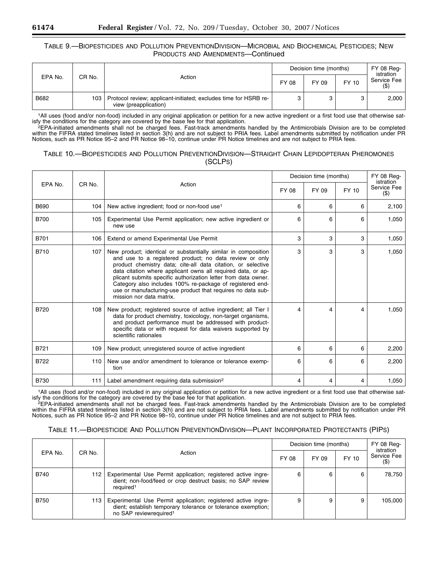## TABLE 9.—BIOPESTICIDES AND POLLUTION PREVENTIONDIVISION—MICROBIAL AND BIOCHEMICAL PESTICIDES; NEW PRODUCTS AND AMENDMENTS—Continued

| EPA No. |        |                                                                                           | Decision time (months) |       |       | <b>FY 08 Reg-</b><br>istration |
|---------|--------|-------------------------------------------------------------------------------------------|------------------------|-------|-------|--------------------------------|
|         | CR No. | Action                                                                                    | FY 08                  | FY 09 | FY 10 | Service Fee                    |
| B682    | 103    | Protocol review; applicant-initiated; excludes time for HSRB re-<br>view (preapplication) |                        |       |       | 2.000                          |

1All uses (food and/or non-food) included in any original application or petition for a new active ingredient or a first food use that otherwise sat-

isfy the conditions for the category are covered by the base fee for that application.<br><sup>2</sup>EPA-initiated amendments shall not be charged fees. Fast-track amendments handled by the Antimicrobials Division are to be completed within the FIFRA stated timelines listed in section 3(h) and are not subject to PRIA fees. Label amendments submitted by notification under PR Notices, such as PR Notice 95–2 and PR Notice 98–10, continue under PR Notice timelines and are not subject to PRIA fees.

## TABLE 10.—BIOPESTICIDES AND POLLUTION PREVENTIONDIVISION—STRAIGHT CHAIN LEPIDOPTERAN PHEROMONES (SCLPS)

|             |        |                                                                                                                                                                                                                                                                                                                                                                                                                                                                                     | Decision time (months) |       |       | <b>FY 08 Reg-</b><br>istration |
|-------------|--------|-------------------------------------------------------------------------------------------------------------------------------------------------------------------------------------------------------------------------------------------------------------------------------------------------------------------------------------------------------------------------------------------------------------------------------------------------------------------------------------|------------------------|-------|-------|--------------------------------|
| EPA No.     | CR No. | Action                                                                                                                                                                                                                                                                                                                                                                                                                                                                              | FY 08                  | FY 09 | FY 10 | Service Fee<br>$($ \$)         |
| B690        | 104    | New active ingredient; food or non-food use <sup>1</sup>                                                                                                                                                                                                                                                                                                                                                                                                                            | 6                      | 6     | 6     | 2,100                          |
| <b>B700</b> | 105    | Experimental Use Permit application; new active ingredient or<br>new use                                                                                                                                                                                                                                                                                                                                                                                                            | 6                      | 6     | 6     | 1,050                          |
| <b>B701</b> | 106    | Extend or amend Experimental Use Permit                                                                                                                                                                                                                                                                                                                                                                                                                                             | 3                      | 3     | 3     | 1,050                          |
| B710        | 107    | New product; identical or substantially similar in composition<br>and use to a registered product; no data review or only<br>product chemistry data; cite-all data citation, or selective<br>data citation where applicant owns all required data, or ap-<br>plicant submits specific authorization letter from data owner.<br>Category also includes 100% re-package of registered end-<br>use or manufacturing-use product that requires no data sub-<br>mission nor data matrix. | 3                      | 3     | 3     | 1,050                          |
| <b>B720</b> | 108    | New product; registered source of active ingredient; all Tier I<br>data for product chemistry, toxicology, non-target organisms,<br>and product performance must be addressed with product-<br>specific data or with request for data waivers supported by<br>scientific rationales                                                                                                                                                                                                 | 4                      | 4     | 4     | 1.050                          |
| B721        | 109    | New product; unregistered source of active ingredient                                                                                                                                                                                                                                                                                                                                                                                                                               | 6                      | 6     | 6     | 2,200                          |
| B722        | 110    | New use and/or amendment to tolerance or tolerance exemp-<br>tion                                                                                                                                                                                                                                                                                                                                                                                                                   | 6                      | 6     | 6     | 2,200                          |
| <b>B730</b> | 111    | Label amendment requiring data submission <sup>2</sup>                                                                                                                                                                                                                                                                                                                                                                                                                              | 4                      | 4     | 4     | 1,050                          |

1All uses (food and/or non-food) included in any original application or petition for a new active ingredient or a first food use that otherwise satisfy the conditions for the category are covered by the base fee for that application.<br><sup>2</sup>EPA-initiated amendments shall not be charged fees. Fast-track amendments handled by the Antimicrobials Division are to be completed

within the FIFRA stated timelines listed in section 3(h) and are not subject to PRIA fees. Label amendments submitted by notification under PR Notices, such as PR Notice 95–2 and PR Notice 98–10, continue under PR Notice timelines and are not subject to PRIA fees.

| TABLE 11.-BIOPESTICIDE AND POLLUTION PREVENTIONDIVISION-PLANT INCORPORATED PROTECTANTS (PIPS) |  |  |
|-----------------------------------------------------------------------------------------------|--|--|
|-----------------------------------------------------------------------------------------------|--|--|

| EPA No.     | CR No. | Action                                                                                                                                                              | Decision time (months) | FY 08 Req-<br>istration |       |                       |
|-------------|--------|---------------------------------------------------------------------------------------------------------------------------------------------------------------------|------------------------|-------------------------|-------|-----------------------|
|             |        |                                                                                                                                                                     | FY 08                  | FY 09                   | FY 10 | Service Fee<br>$($ \$ |
| <b>B740</b> | 112    | Experimental Use Permit application; registered active ingre-<br>dient; non-food/feed or crop destruct basis; no SAP review<br>required <sup>1</sup>                |                        | 6                       | 6     | 78.750                |
| <b>B750</b> | 113    | Experimental Use Permit application; registered active ingre-<br>dient; establish temporary tolerance or tolerance exemption;<br>no SAP reviewrequired <sup>1</sup> |                        |                         | 9     | 105.000               |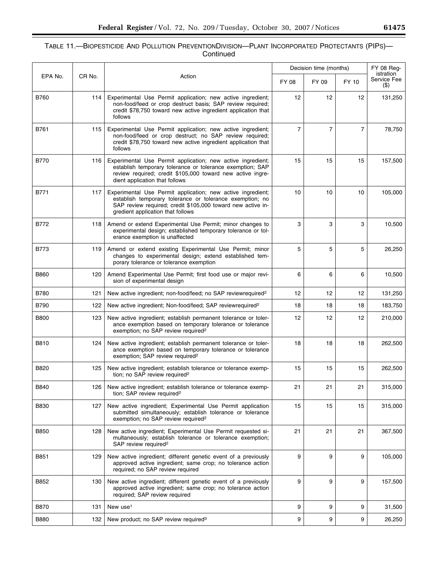## TABLE 11.—BIOPESTICIDE AND POLLUTION PREVENTIONDIVISION—PLANT INCORPORATED PROTECTANTS (PIPS)— Continued

|             |        |                                                                                                                                                                                                                             | Decision time (months) |                |                | FY 08 Reg-                         |
|-------------|--------|-----------------------------------------------------------------------------------------------------------------------------------------------------------------------------------------------------------------------------|------------------------|----------------|----------------|------------------------------------|
| EPA No.     | CR No. | Action                                                                                                                                                                                                                      | FY 08                  | FY 09          | FY 10          | istration<br>Service Fee<br>$($ \$ |
| <b>B760</b> | 114    | Experimental Use Permit application; new active ingredient;<br>non-food/feed or crop destruct basis; SAP review required;<br>credit \$78,750 toward new active ingredient application that<br>follows                       | $12 \overline{ }$      | 12             | 12             | 131,250                            |
| B761        | 115    | Experimental Use Permit application; new active ingredient;<br>non-food/feed or crop destruct; no SAP review required;<br>credit \$78,750 toward new active ingredient application that<br>follows                          | $\overline{7}$         | $\overline{7}$ | $\overline{7}$ | 78,750                             |
| <b>B770</b> | 116    | Experimental Use Permit application; new active ingredient;<br>establish temporary tolerance or tolerance exemption; SAP<br>review required; credit \$105,000 toward new active ingre-<br>dient application that follows    | 15                     | 15             | 15             | 157,500                            |
| B771        | 117    | Experimental Use Permit application; new active ingredient;<br>establish temporary tolerance or tolerance exemption; no<br>SAP review required; credit \$105,000 toward new active in-<br>gredient application that follows | 10                     | 10             | 10             | 105,000                            |
| B772        | 118    | Amend or extend Experimental Use Permit; minor changes to<br>experimental design; established temporary tolerance or tol-<br>erance exemption is unaffected                                                                 | 3                      | 3              | 3              | 10,500                             |
| <b>B773</b> | 119    | Amend or extend existing Experimental Use Permit; minor<br>changes to experimental design; extend established tem-<br>porary tolerance or tolerance exemption                                                               | 5                      | 5              | 5              | 26,250                             |
| <b>B860</b> | 120    | Amend Experimental Use Permit; first food use or major revi-<br>sion of experimental design                                                                                                                                 | 6                      | 6              | 6              | 10,500                             |
| <b>B780</b> | 121    | New active ingredient; non-food/feed; no SAP reviewrequired <sup>2</sup>                                                                                                                                                    | 12                     | 12             | 12             | 131,250                            |
| <b>B790</b> | 122    | New active ingredient; Non-food/feed; SAP reviewrequired <sup>2</sup>                                                                                                                                                       | 18                     | 18             | 18             | 183,750                            |
| <b>B800</b> | 123    | New active ingredient; establish permanent tolerance or toler-<br>ance exemption based on temporary tolerance or tolerance<br>exemption; no SAP review required <sup>2</sup>                                                | 12                     | 12             | 12             | 210,000                            |
| B810        | 124    | New active ingredient; establish permanent tolerance or toler-<br>ance exemption based on temporary tolerance or tolerance<br>exemption; SAP review required <sup>2</sup>                                                   | 18                     | 18             | 18             | 262,500                            |
| B820        | 125    | New active ingredient; establish tolerance or tolerance exemp-<br>tion; no SAP review required <sup>2</sup>                                                                                                                 | 15                     | 15             | 15             | 262,500                            |
| B840        | 126    | New active ingredient; establish tolerance or tolerance exemp-<br>tion; SAP review required <sup>2</sup>                                                                                                                    | 21                     | 21             | 21             | 315,000                            |
| <b>B830</b> | 127    | New active ingredient; Experimental Use Permit application<br>submitted simultaneously; establish tolerance or tolerance<br>exemption; no SAP review required <sup>2</sup>                                                  | 15                     | 15             | 15             | 315,000                            |
| <b>B850</b> | 128    | New active ingredient; Experimental Use Permit requested si-<br>multaneously; establish tolerance or tolerance exemption;<br>SAP review required <sup>2</sup>                                                               | 21                     | 21             | 21             | 367,500                            |
| B851        | 129    | New active ingredient; different genetic event of a previously<br>approved active ingredient; same crop; no tolerance action<br>required; no SAP review required                                                            | 9                      | 9              | 9              | 105,000                            |
| B852        | 130    | New active ingredient; different genetic event of a previously<br>approved active ingredient; same crop; no tolerance action<br>required; SAP review required                                                               | 9                      | 9              | 9              | 157,500                            |
| <b>B870</b> | 131    | New use <sup>1</sup>                                                                                                                                                                                                        | 9                      | 9              | 9              | 31,500                             |
| <b>B880</b> | 132    | New product; no SAP review required <sup>3</sup>                                                                                                                                                                            | 9                      | 9              | 9              | 26,250                             |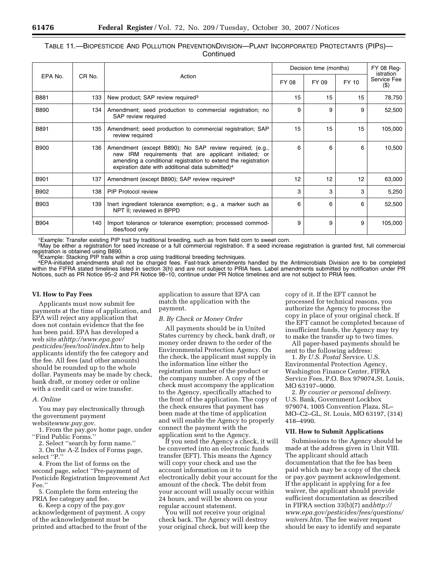| TABLE 11.—BIOPESTICIDE AND POLLUTION PREVENTIONDIVISION—PLANT INCORPORATED PROTECTANTS (PIPS)— |  |
|------------------------------------------------------------------------------------------------|--|
| Continued                                                                                      |  |

| EPA No.     | CR No. | Action                                                                                                                                                                                                                                             | Decision time (months) |       |       | FY 08 Req-<br>istration |
|-------------|--------|----------------------------------------------------------------------------------------------------------------------------------------------------------------------------------------------------------------------------------------------------|------------------------|-------|-------|-------------------------|
|             |        |                                                                                                                                                                                                                                                    | FY 08                  | FY 09 | FY 10 | Service Fee<br>$($ \$)  |
| B881        | 133    | New product; SAP review required <sup>3</sup>                                                                                                                                                                                                      | 15                     | 15    | 15    | 78,750                  |
| <b>B890</b> | 134    | Amendment; seed production to commercial registration; no<br>SAP review required                                                                                                                                                                   | 9                      | 9     | 9     | 52,500                  |
| B891        | 135    | Amendment; seed production to commercial registration; SAP<br>review required                                                                                                                                                                      | 15                     | 15    | 15    | 105,000                 |
| <b>B900</b> | 136    | Amendment (except B890); No SAP review required; (e.g.,<br>new IRM requirements that are applicant initiated; or<br>amending a conditional registration to extend the registration<br>expiration date with additional data submitted) <sup>4</sup> | 6                      | 6     | 6     | 10,500                  |
| <b>B901</b> | 137    | Amendment (except B890); SAP review required <sup>4</sup>                                                                                                                                                                                          | 12                     | 12    | 12    | 63,000                  |
| B902        | 138    | <b>PIP Protocol review</b>                                                                                                                                                                                                                         | 3                      | 3     | 3     | 5,250                   |
| B903        | 139    | lnert ingredient tolerance exemption; e.g., a marker such as<br>NPT II; reviewed in BPPD                                                                                                                                                           | 6                      | 6     | 6     | 52,500                  |
| B904        | 140    | Import tolerance or tolerance exemption; processed commod-<br>ities/food only                                                                                                                                                                      | 9                      | 9     | 9     | 105,000                 |

1Example: Transfer existing PIP trait by traditional breeding, such as from field corn to sweet corn.

<sup>2</sup>May be either a registration for seed increase or a full commercial registration. If a seed increase registration is granted first, full commercial registration is obtained using B890.

 ${}^{3}$ Example: Stacking PIP traits within a crop using traditional breeding techniques.

4EPA-initiated amendments shall not be charged fees. Fast-track amendments handled by the Antimicrobials Division are to be completed within the FIFRA stated timelines listed in section 3(h) and are not subject to PRIA fees. Label amendments submitted by notification under PR Notices, such as PR Notice 95–2 and PR Notice 98–10, continue under PR Notice timelines and are not subject to PRIA fees.

#### **VI. How to Pay Fees**

Applicants must now submit fee payments at the time of application, and EPA will reject any application that does not contain evidence that the fee has been paid. EPA has developed a web site at*http://www.epa.gov/ pesticides/fees/tool/index.htm* to help applicants identify the fee category and the fee. All fees (and other amounts) should be rounded up to the whole dollar. Payments may be made by check, bank draft, or money order or online with a credit card or wire transfer.

## *A. Online*

You may pay electronically through the government payment website*www.pay.gov*.

1. From the pay.gov home page, under ''Find Public Forms.''

2. Select ''search by form name.''

3. On the A-Z Index of Forms page, select ''P.''

4. From the list of forms on the second page, select ''Pre-payment of Pesticide Registration Improvement Act Fee.''

5. Complete the form entering the PRIA fee category and fee.

6. Keep a copy of the pay.gov acknowledgement of payment. A copy of the acknowledgement must be printed and attached to the front of the application to assure that EPA can match the application with the payment.

#### *B. By Check or Money Order*

All payments should be in United States currency by check, bank draft, or money order drawn to the order of the Environmental Protection Agency. On the check, the applicant must supply in the information line either the registration number of the product or the company number. A copy of the check must accompany the application to the Agency, specifically attached to the front of the application. The copy of the check ensures that payment has been made at the time of application and will enable the Agency to properly connect the payment with the application sent to the Agency.

If you send the Agency a check, it will be converted into an electronic funds transfer (EFT). This means the Agency will copy your check and use the account information on it to electronically debit your account for the amount of the check. The debit from your account will usually occur within 24 hours, and will be shown on your regular account statement.

You will not receive your original check back. The Agency will destroy your original check, but will keep the

copy of it. If the EFT cannot be processed for technical reasons, you authorize the Agency to process the copy in place of your original check. If the EFT cannot be completed because of insufficient funds, the Agency may try to make the transfer up to two times.

All paper-based payments should be sent to the following address:

1. *By U.S. Postal Service*. U.S. Environmental Protection Agency, Washington Finance Center, FIFRA Service Fees, P.O. Box 979074,St. Louis, MO 63197–9000.

2. *By courier or personal delivery*. U.S. Bank, Government Lockbox 979074, 1005 Convention Plaza, SL– MO–C2–GL, St. Louis, MO 63197, (314) 418–4990.

#### **VII. How to Submit Applications**

Submissions to the Agency should be made at the address given in Unit VIII. The applicant should attach documentation that the fee has been paid which may be a copy of the check or pay.gov payment acknowledgement. If the applicant is applying for a fee waiver, the applicant should provide sufficient documentation as described in FIFRA section 33(b)(7) and*http:// www.epa.gov/pesticides/fees/questions/ waivers.htm.* The fee waiver request should be easy to identify and separate